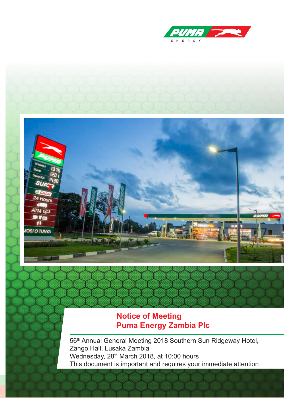



## **Notice of Meeting Puma Energy Zambia Plc**

56<sup>th</sup> Annual General Meeting 2018 Southern Sun Ridgeway Hotel, Zango Hall, Lusaka Zambia Wednesday, 28<sup>th</sup> March 2018, at 10:00 hours This document is important and requires your immediate attention

Notice of Meeting - 2018 1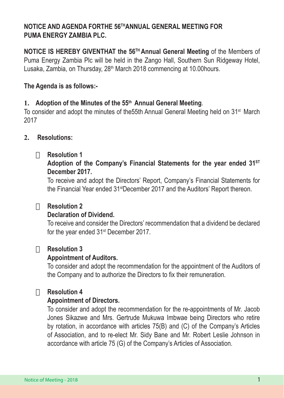## **NOTICE AND AGENDA FORTHE 56THANNUAL GENERAL MEETING FOR PUMA ENERGY ZAMBIA PLC.**

**NOTICE IS HEREBY GIVENTHAT the 56TH Annual General Meeting** of the Members of Puma Energy Zambia Plc will be held in the Zango Hall, Southern Sun Ridgeway Hotel, Lusaka, Zambia, on Thursday, 28<sup>th</sup> March 2018 commencing at 10.00 hours.

## **The Agenda is as follows:-**

## **1. Adoption of the Minutes of the 55th Annual General Meeting**.

To consider and adopt the minutes of the55th Annual General Meeting held on 31st March 2017

## **2. Resolutions:**

## □ **Resolution 1**

**Adoption of the Company's Financial Statements for the year ended 31ST December 2017.**

To receive and adopt the Directors' Report, Company's Financial Statements for the Financial Year ended 31<sup>st</sup>December 2017 and the Auditors' Report thereon.

## · **Resolution 2**

## **Declaration of Dividend.**

To receive and consider the Directors' recommendation that a dividend be declared for the year ended 31<sup>st</sup> December 2017.

## □ **Resolution 3**

#### **Appointment of Auditors.**

To consider and adopt the recommendation for the appointment of the Auditors of the Company and to authorize the Directors to fix their remuneration.

## · **Resolution 4**

## **Appointment of Directors.**

To consider and adopt the recommendation for the re-appointments of Mr. Jacob Jones Sikazwe and Mrs. Gertrude Mukuwa Imbwae being Directors who retire by rotation, in accordance with articles 75(B) and (C) of the Company's Articles of Association, and to re-elect Mr. Sidy Bane and Mr. Robert Leslie Johnson in accordance with article 75 (G) of the Company's Articles of Association.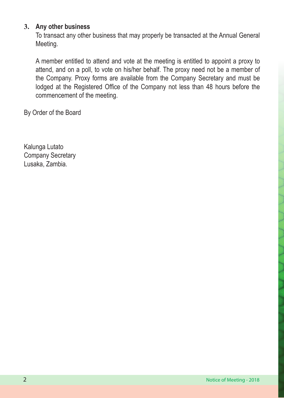## **3. Any other business**

To transact any other business that may properly be transacted at the Annual General Meeting.

A member entitled to attend and vote at the meeting is entitled to appoint a proxy to attend, and on a poll, to vote on his/her behalf. The proxy need not be a member of the Company. Proxy forms are available from the Company Secretary and must be lodged at the Registered Office of the Company not less than 48 hours before the commencement of the meeting.

By Order of the Board

Kalunga Lutato Company Secretary Lusaka, Zambia.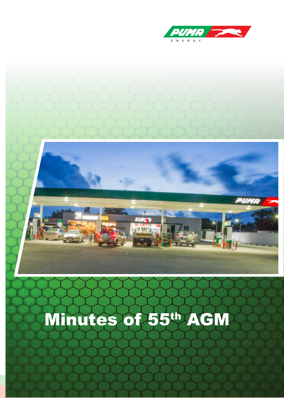



Notice of Meeting and Meeting and Meeting and Meeting and Meeting and Meeting and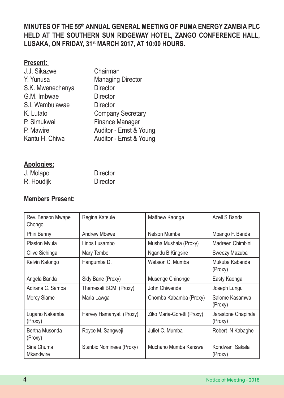## **MINUTES OF THE 55th ANNUAL GENERAL MEETING OF PUMA ENERGY ZAMBIA PLC HELD AT THE SOUTHERN SUN RIDGEWAY HOTEL, ZANGO CONFERENCE HALL, LUSAKA, ON FRIDAY, 31st MARCH 2017, AT 10:00 HOURS.**

| Ψ, | esent. |  |
|----|--------|--|
|    |        |  |

| J.J. Sikazwe     | Chairman                 |
|------------------|--------------------------|
| Y. Yunusa        | <b>Managing Director</b> |
| S.K. Mwenechanya | Director                 |
| G.M. Imbwae      | Director                 |
| S.I. Wambulawae  | Director                 |
| K. Lutato        | <b>Company Secretary</b> |
| P. Simukwai      | Finance Manager          |
| P. Mawire        | Auditor - Ernst & Young  |
| Kantu H. Chiwa   | Auditor - Ernst & Young  |
|                  |                          |

## **Apologies:**

| J. Molapo  | Director |
|------------|----------|
| R. Houdijk | Director |

## **Members Present:**

| Rev. Benson Mwape<br>Chongo    | Regina Kateule           | Matthew Kaonga             | Azell S Banda                 |
|--------------------------------|--------------------------|----------------------------|-------------------------------|
| Phiri Benny                    | Andrew Mbewe             | Nelson Mumba               | Mpango F. Banda               |
| Plaston Myula                  | Linos Lusambo            | Musha Mushala (Proxy)      | Madreen Chimbini              |
| Olive Sichinga                 | Mary Tembo               | Ngandu B Kingsire          | Sweezy Mazuba                 |
| Kelvin Katongo                 | Hangumba D.              | Webson C. Mumba            | Mukuba Kabanda<br>(Proxy)     |
| Angela Banda                   | Sidy Bane (Proxy)        | Musenge Chinonge           | Easty Kaonga                  |
| Adirana C. Sampa               | Themesali BCM (Proxy)    | John Chiwende              | Joseph Lungu                  |
| Mercy Siame                    | Maria Lawga              | Chomba Kabamba (Proxy)     | Salome Kasamwa<br>(Proxy)     |
| Lugano Nakamba<br>(Proxy)      | Harvey Hamanyati (Proxy) | Ziko Maria-Goretti (Proxy) | Jarastone Chapinda<br>(Proxy) |
| Bertha Musonda<br>(Proxy)      | Royce M. Sangweji        | Juliet C. Mumba            | Robert N Kabaghe              |
| Sina Chuma<br><b>Mkandwire</b> | Stanbic Nominees (Proxy) | Muchano Mumba Kanswe       | Kondwani Sakala<br>(Proxy)    |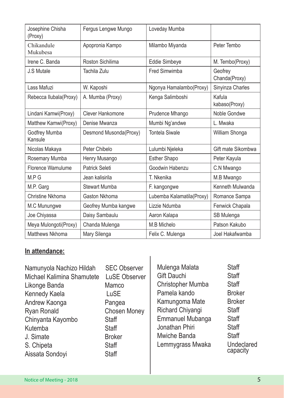| Josephine Chisha<br>(Proxy) | Fergus Lengwe Mungo    | Loveday Mumba             |                          |
|-----------------------------|------------------------|---------------------------|--------------------------|
| Chikandule<br>Mukubesa      | Apopronia Kampo        | Milambo Miyanda           | Peter Tembo              |
| Irene C. Banda              | Roston Sichilima       | Eddie Simbeye             | M. Tembo(Proxy)          |
| J.S Mutale                  | Tachila Zulu           | Fred Simwimba             | Geofrey<br>Chanda(Proxy) |
| Lass Mafuzi                 | W. Kaposhi             | Ngonya Hamalambo(Proxy)   | Sinyinza Charles         |
| Rebecca Ilubala(Proxy)      | A. Mumba (Proxy)       | Kenga Salimboshi          | Kafula<br>kabaso(Proxy)  |
| Lindani Kamwi(Proxy)        | Clever Hankomone       | Prudence Mhango           | Noble Gondwe             |
| Matthew Kamwi(Proxy)        | Denise Mwanza          | Mumbi Ng'andwe            | L. Mwaka                 |
| Godfrey Mumba<br>Kansule    | Desmond Musonda(Proxy) | <b>Tontela Siwale</b>     | William Shonga           |
| Nicolas Makaya              | Peter Chibelo          | Lulumbi Njeleka           | Gift mate Sikombwa       |
| Rosemary Mumba              | Henry Musango          | <b>Esther Shapo</b>       | Peter Kayula             |
| Florence Wamulume           | Patrick Seleti         | Goodwin Habenzu           | C.N Mwango               |
| M.P G                       | Jean kalisirila        | T. Nkenika                | M.B Mwango               |
| M.P. Garg                   | <b>Stewart Mumba</b>   | F. kangongwe              | Kenneth Mulwanda         |
| Christine Nkhoma            | Gaston Nkhoma          | Lubemba Kalamatila(Proxy) | Romance Sampa            |
| M.C Munungwe                | Geofrey Mumba kangwe   | Lizzie Ndumba             | Fenwick Chapala          |
| Joe Chiyassa                | Daisy Sambaulu         | Aaron Kalapa              | SB Mulenga               |
| Meya Mulongoti(Proxy)       | Chanda Mulenga         | M.B Michelo               | Patson Kakubo            |
| Matthews Nkhoma             | Mary Silenga           | Felix C. Mulenga          | Joel Hakafwamba          |

## **In attendance:**

| Namunyola Nachizo Hildah<br>Michael Kalimina Shamutete<br>Likonge Banda<br>Kennedy Kaela<br>Andrew Kaonga<br>Ryan Ronald<br>Chinyanta Kayombo<br>Kutemba<br>J. Simate<br>S. Chipeta<br>Aissata Sondoyi | <b>SEC Observer</b><br>LuSE Observer<br>Mamco<br>LuSE<br>Pangea<br><b>Chosen Money</b><br>Staff<br>Staff<br><b>Broker</b><br>Staff<br>Staff | Mulenga Malata<br>Gift Dauchi<br>Christopher Mumba<br>Pamela kando<br>Kamungoma Mate<br>Richard Chiyangi<br>Emmanuel Mubanga<br>Jonathan Phiri<br>Mwiche Banda<br>Lemmygrass Mwaka | Staff<br><b>Staff</b><br><b>Staff</b><br><b>Broker</b><br><b>Broker</b><br><b>Staff</b><br><b>Staff</b><br><b>Staff</b><br><b>Staff</b><br>Undeclared<br>capacity |
|--------------------------------------------------------------------------------------------------------------------------------------------------------------------------------------------------------|---------------------------------------------------------------------------------------------------------------------------------------------|------------------------------------------------------------------------------------------------------------------------------------------------------------------------------------|-------------------------------------------------------------------------------------------------------------------------------------------------------------------|

I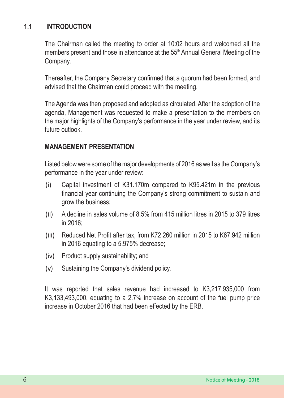## **1.1 INTRODUCTION**

The Chairman called the meeting to order at 10:02 hours and welcomed all the members present and those in attendance at the 55<sup>th</sup> Annual General Meeting of the Company.

Thereafter, the Company Secretary confirmed that a quorum had been formed, and advised that the Chairman could proceed with the meeting.

The Agenda was then proposed and adopted as circulated. After the adoption of the agenda, Management was requested to make a presentation to the members on the major highlights of the Company's performance in the year under review, and its future outlook.

## **MANAGEMENT PRESENTATION**

Listed below were some of the major developments of 2016 as well as the Company's performance in the year under review:

- (i) Capital investment of K31.170m compared to K95.421m in the previous financial year continuing the Company's strong commitment to sustain and grow the business;
- (ii) A decline in sales volume of 8.5% from 415 million litres in 2015 to 379 litres in 2016;
- (iii) Reduced Net Profit after tax, from K72.260 million in 2015 to K67.942 million in 2016 equating to a 5.975% decrease;
- (iv) Product supply sustainability; and
- (v) Sustaining the Company's dividend policy.

It was reported that sales revenue had increased to K3,217,935,000 from K3,133,493,000, equating to a 2.7% increase on account of the fuel pump price increase in October 2016 that had been effected by the ERB.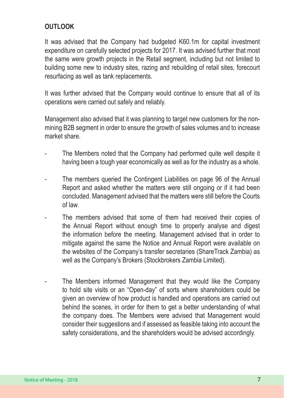## **OUTLOOK**

It was advised that the Company had budgeted K60.1m for capital investment expenditure on carefully selected projects for 2017. It was advised further that most the same were growth projects in the Retail segment, including but not limited to building some new to industry sites, razing and rebuilding of retail sites, forecourt resurfacing as well as tank replacements.

It was further advised that the Company would continue to ensure that all of its operations were carried out safely and reliably.

Management also advised that it was planning to target new customers for the nonmining B2B segment in order to ensure the growth of sales volumes and to increase market share.

- The Members noted that the Company had performed quite well despite it having been a tough year economically as well as for the industry as a whole.
- The members queried the Contingent Liabilities on page 96 of the Annual Report and asked whether the matters were still ongoing or if it had been concluded. Management advised that the matters were still before the Courts of law.
- The members advised that some of them had received their copies of the Annual Report without enough time to properly analyse and digest the information before the meeting. Management advised that in order to mitigate against the same the Notice and Annual Report were available on the websites of the Company's transfer secretaries (ShareTrack Zambia) as well as the Company's Brokers (Stockbrokers Zambia Limited).
- The Members informed Management that they would like the Company to hold site visits or an "Open-day" of sorts where shareholders could be given an overview of how product is handled and operations are carried out behind the scenes, in order for them to get a better understanding of what the company does. The Members were advised that Management would consider their suggestions and if assessed as feasible taking into account the safety considerations, and the shareholders would be advised accordingly.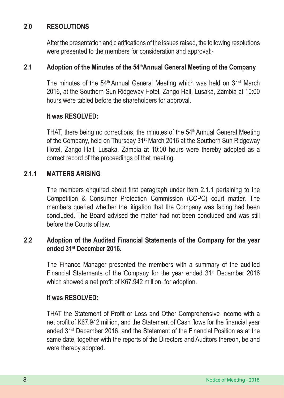## **2.0 RESOLUTIONS**

After the presentation and clarifications of the issues raised, the following resolutions were presented to the members for consideration and approval:-

## **2.1 Adoption of the Minutes of the 54thAnnual General Meeting of the Company**

The minutes of the  $54<sup>th</sup>$  Annual General Meeting which was held on  $31<sup>st</sup>$  March 2016, at the Southern Sun Ridgeway Hotel, Zango Hall, Lusaka, Zambia at 10:00 hours were tabled before the shareholders for approval.

## **It was RESOLVED:**

THAT, there being no corrections, the minutes of the 54<sup>th</sup> Annual General Meeting of the Company, held on Thursday 31<sup>st</sup> March 2016 at the Southern Sun Ridgeway Hotel, Zango Hall, Lusaka, Zambia at 10:00 hours were thereby adopted as a correct record of the proceedings of that meeting.

## **2.1.1 MATTERS ARISING**

The members enquired about first paragraph under item 2.1.1 pertaining to the Competition & Consumer Protection Commission (CCPC) court matter. The members queried whether the litigation that the Company was facing had been concluded. The Board advised the matter had not been concluded and was still before the Courts of law.

## **2.2 Adoption of the Audited Financial Statements of the Company for the year ended 31st December 2016.**

The Finance Manager presented the members with a summary of the audited Financial Statements of the Company for the year ended 31<sup>st</sup> December 2016 which showed a net profit of K67.942 million, for adoption.

## **It was RESOLVED:**

THAT the Statement of Profit or Loss and Other Comprehensive Income with a net profit of K67.942 million, and the Statement of Cash flows for the financial year ended 31st December 2016, and the Statement of the Financial Position as at the same date, together with the reports of the Directors and Auditors thereon, be and were thereby adopted.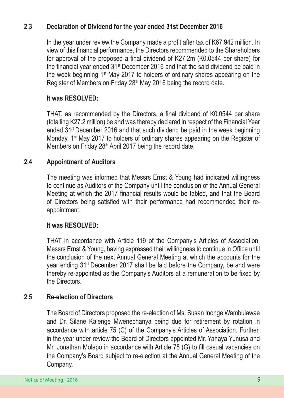## **2.3 Declaration of Dividend for the year ended 31st December 2016**

In the year under review the Company made a profit after tax of K67.942 million. In view of this financial performance, the Directors recommended to the Shareholders for approval of the proposed a final dividend of K27.2m (K0.0544 per share) for the financial year ended 31st December 2016 and that the said dividend be paid in the week beginning 1st May 2017 to holders of ordinary shares appearing on the Register of Members on Friday 28<sup>th</sup> May 2016 being the record date.

## **It was RESOLVED:**

THAT, as recommended by the Directors, a final dividend of K0.0544 per share (totalling K27.2 million) be and was thereby declared in respect of the Financial Year ended 31st December 2016 and that such dividend be paid in the week beginning Monday, 1<sup>st</sup> May 2017 to holders of ordinary shares appearing on the Register of Members on Friday 28<sup>th</sup> April 2017 being the record date.

## **2.4 Appointment of Auditors**

The meeting was informed that Messrs Ernst & Young had indicated willingness to continue as Auditors of the Company until the conclusion of the Annual General Meeting at which the 2017 financial results would be tabled, and that the Board of Directors being satisfied with their performance had recommended their reappointment.

## **It was RESOLVED:**

THAT in accordance with Article 119 of the Company's Articles of Association, Messrs Ernst & Young, having expressed their willingness to continue in Office until the conclusion of the next Annual General Meeting at which the accounts for the year ending 31st December 2017 shall be laid before the Company, be and were thereby re-appointed as the Company's Auditors at a remuneration to be fixed by the Directors.

## **2.5 Re-election of Directors**

The Board of Directors proposed the re-election of Ms. Susan Inonge Wambulawae and Dr. Silane Kalenge Mwenechanya being due for retirement by rotation in accordance with article 75 (C) of the Company's Articles of Association. Further, in the year under review the Board of Directors appointed Mr. Yahaya Yunusa and Mr. Jonathan Molapo in accordance with Article 75 (G) to fill casual vacancies on the Company's Board subject to re-election at the Annual General Meeting of the Company.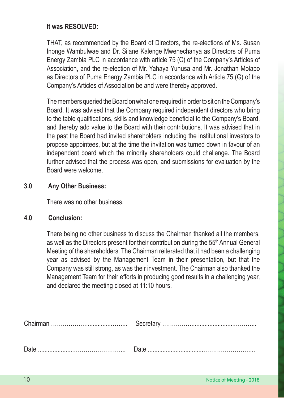## **It was RESOLVED:**

THAT, as recommended by the Board of Directors, the re-elections of Ms. Susan Inonge Wambulwae and Dr. Silane Kalenge Mwenechanya as Directors of Puma Energy Zambia PLC in accordance with article 75 (C) of the Company's Articles of Association, and the re-election of Mr. Yahaya Yunusa and Mr. Jonathan Molapo as Directors of Puma Energy Zambia PLC in accordance with Article 75 (G) of the Company's Articles of Association be and were thereby approved.

The members queried the Board on what one required in order to sit on the Company's Board. It was advised that the Company required independent directors who bring to the table qualifications, skills and knowledge beneficial to the Company's Board, and thereby add value to the Board with their contributions. It was advised that in the past the Board had invited shareholders including the institutional investors to propose appointees, but at the time the invitation was turned down in favour of an independent board which the minority shareholders could challenge. The Board further advised that the process was open, and submissions for evaluation by the Board were welcome.

## **3.0 Any Other Business:**

There was no other business.

## **4.0 Conclusion:**

There being no other business to discuss the Chairman thanked all the members, as well as the Directors present for their contribution during the 55<sup>th</sup> Annual General Meeting of the shareholders. The Chairman reiterated that it had been a challenging year as advised by the Management Team in their presentation, but that the Company was still strong, as was their investment. The Chairman also thanked the Management Team for their efforts in producing good results in a challenging year, and declared the meeting closed at 11:10 hours.

| Date |  |
|------|--|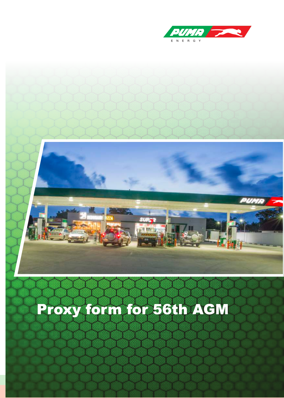



# Proxy form for 56th AGM

Notice of Meeting - 2018 11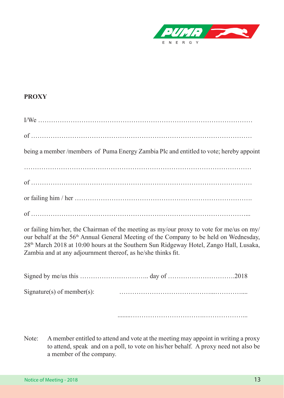

## **PROXY**

| being a member /members of Puma Energy Zambia Plc and entitled to vote; hereby appoint |
|----------------------------------------------------------------------------------------|
|                                                                                        |
|                                                                                        |
|                                                                                        |
|                                                                                        |

or failing him/her, the Chairman of the meeting as my/our proxy to vote for me/us on my/ our behalf at the 56<sup>th</sup> Annual General Meeting of the Company to be held on Wednesday, 28th March 2018 at 10:00 hours at the Southern Sun Ridgeway Hotel, Zango Hall, Lusaka, Zambia and at any adjournment thereof, as he/she thinks fit.

| Signature(s) of member(s): |  |
|----------------------------|--|
|                            |  |

........…………………………….………………...

Note: A member entitled to attend and vote at the meeting may appoint in writing a proxy to attend, speak and on a poll, to vote on his/her behalf. A proxy need not also be a member of the company.